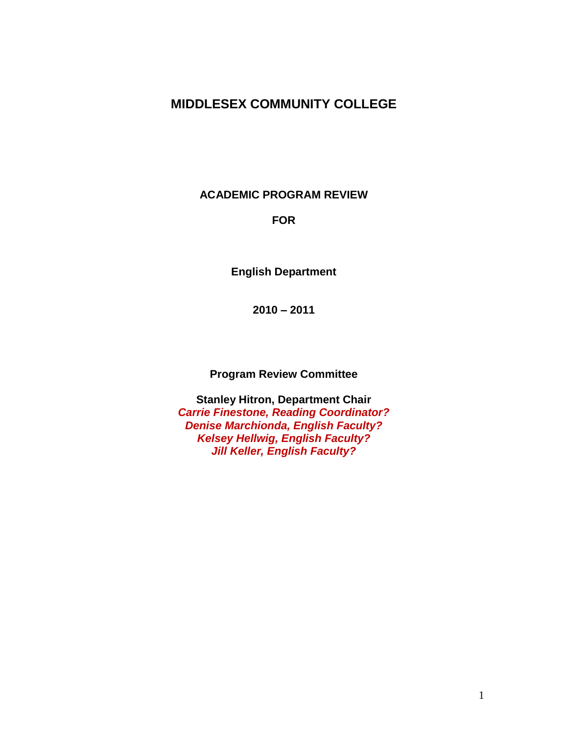# **MIDDLESEX COMMUNITY COLLEGE**

**ACADEMIC PROGRAM REVIEW**

#### **FOR**

**English Department**

**2010 – 2011**

**Program Review Committee**

**Stanley Hitron, Department Chair** *Carrie Finestone, Reading Coordinator? Denise Marchionda, English Faculty? Kelsey Hellwig, English Faculty? Jill Keller, English Faculty?*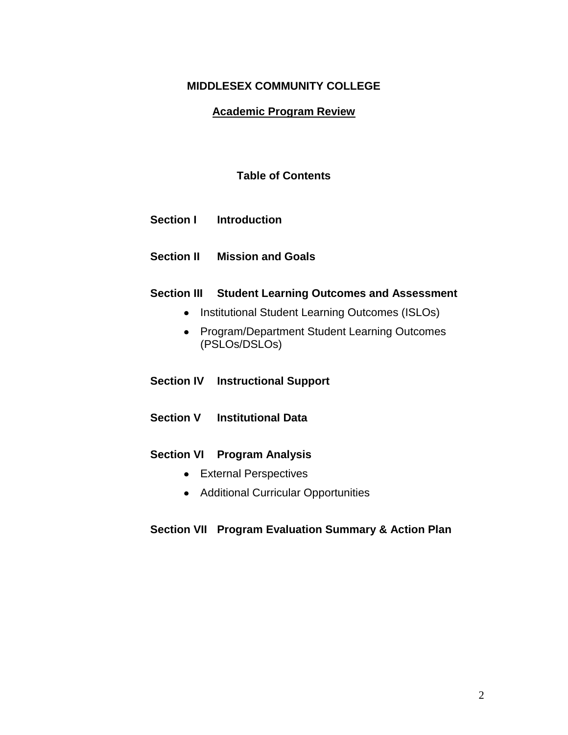### **MIDDLESEX COMMUNITY COLLEGE**

#### **Academic Program Review**

### **Table of Contents**

- **Section I Introduction**
- **Section II Mission and Goals**

#### **Section III Student Learning Outcomes and Assessment**

- Institutional Student Learning Outcomes (ISLOs)
- Program/Department Student Learning Outcomes (PSLOs/DSLOs)
- **Section IV Instructional Support**
- **Section V Institutional Data**

#### **Section VI Program Analysis**

- External Perspectives
- Additional Curricular Opportunities

#### **Section VII Program Evaluation Summary & Action Plan**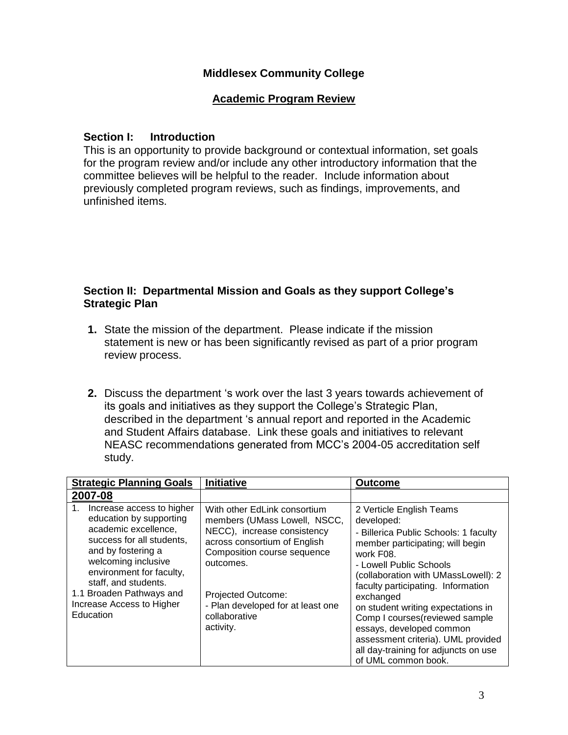### **Middlesex Community College**

### **Academic Program Review**

### **Section I: Introduction**

This is an opportunity to provide background or contextual information, set goals for the program review and/or include any other introductory information that the committee believes will be helpful to the reader. Include information about previously completed program reviews, such as findings, improvements, and unfinished items.

#### **Section II: Departmental Mission and Goals as they support College's Strategic Plan**

- **1.** State the mission of the department. Please indicate if the mission statement is new or has been significantly revised as part of a prior program review process.
- **2.** Discuss the department 's work over the last 3 years towards achievement of its goals and initiatives as they support the College's Strategic Plan, described in the department 's annual report and reported in the Academic and Student Affairs database. Link these goals and initiatives to relevant NEASC recommendations generated from MCC's 2004-05 accreditation self study.

| <b>Strategic Planning Goals</b>                                                                                                                                                                                                                                                        | <b>Initiative</b>                                                                                                                                                                                                                                                | <b>Outcome</b>                                                                                                                                                                                                                                                                                                                                                                                                                                                  |  |
|----------------------------------------------------------------------------------------------------------------------------------------------------------------------------------------------------------------------------------------------------------------------------------------|------------------------------------------------------------------------------------------------------------------------------------------------------------------------------------------------------------------------------------------------------------------|-----------------------------------------------------------------------------------------------------------------------------------------------------------------------------------------------------------------------------------------------------------------------------------------------------------------------------------------------------------------------------------------------------------------------------------------------------------------|--|
| 2007-08                                                                                                                                                                                                                                                                                |                                                                                                                                                                                                                                                                  |                                                                                                                                                                                                                                                                                                                                                                                                                                                                 |  |
| Increase access to higher<br>1.<br>education by supporting<br>academic excellence,<br>success for all students,<br>and by fostering a<br>welcoming inclusive<br>environment for faculty,<br>staff, and students.<br>1.1 Broaden Pathways and<br>Increase Access to Higher<br>Education | With other EdLink consortium<br>members (UMass Lowell, NSCC,<br>NECC), increase consistency<br>across consortium of English<br>Composition course sequence<br>outcomes.<br>Projected Outcome:<br>- Plan developed for at least one<br>collaborative<br>activity. | 2 Verticle English Teams<br>developed:<br>- Billerica Public Schools: 1 faculty<br>member participating; will begin<br>work F08.<br>- Lowell Public Schools<br>(collaboration with UMassLowell): 2<br>faculty participating. Information<br>exchanged<br>on student writing expectations in<br>Comp I courses (reviewed sample<br>essays, developed common<br>assessment criteria). UML provided<br>all day-training for adjuncts on use<br>of UML common book. |  |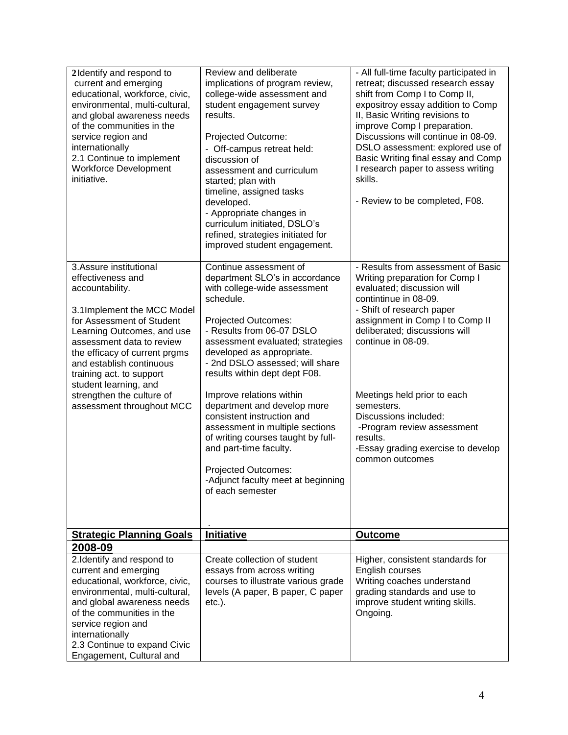| 2 Identify and respond to<br>current and emerging<br>educational, workforce, civic,<br>environmental, multi-cultural,<br>and global awareness needs<br>of the communities in the<br>service region and<br>internationally<br>2.1 Continue to implement<br><b>Workforce Development</b><br>initiative.                                                            | Review and deliberate<br>implications of program review,<br>college-wide assessment and<br>student engagement survey<br>results.<br>Projected Outcome:<br>- Off-campus retreat held:<br>discussion of<br>assessment and curriculum<br>started; plan with<br>timeline, assigned tasks<br>developed.<br>- Appropriate changes in<br>curriculum initiated, DSLO's<br>refined, strategies initiated for<br>improved student engagement.                                                                                                                                                | - All full-time faculty participated in<br>retreat; discussed research essay<br>shift from Comp I to Comp II,<br>expositroy essay addition to Comp<br>II, Basic Writing revisions to<br>improve Comp I preparation.<br>Discussions will continue in 08-09.<br>DSLO assessment: explored use of<br>Basic Writing final essay and Comp<br>I research paper to assess writing<br>skills.<br>- Review to be completed, F08.     |
|------------------------------------------------------------------------------------------------------------------------------------------------------------------------------------------------------------------------------------------------------------------------------------------------------------------------------------------------------------------|------------------------------------------------------------------------------------------------------------------------------------------------------------------------------------------------------------------------------------------------------------------------------------------------------------------------------------------------------------------------------------------------------------------------------------------------------------------------------------------------------------------------------------------------------------------------------------|-----------------------------------------------------------------------------------------------------------------------------------------------------------------------------------------------------------------------------------------------------------------------------------------------------------------------------------------------------------------------------------------------------------------------------|
| 3.Assure institutional<br>effectiveness and<br>accountability.<br>3.1Implement the MCC Model<br>for Assessment of Student<br>Learning Outcomes, and use<br>assessment data to review<br>the efficacy of current prgms<br>and establish continuous<br>training act. to support<br>student learning, and<br>strengthen the culture of<br>assessment throughout MCC | Continue assessment of<br>department SLO's in accordance<br>with college-wide assessment<br>schedule.<br>Projected Outcomes:<br>- Results from 06-07 DSLO<br>assessment evaluated; strategies<br>developed as appropriate.<br>- 2nd DSLO assessed; will share<br>results within dept dept F08.<br>Improve relations within<br>department and develop more<br>consistent instruction and<br>assessment in multiple sections<br>of writing courses taught by full-<br>and part-time faculty.<br><b>Projected Outcomes:</b><br>-Adjunct faculty meet at beginning<br>of each semester | - Results from assessment of Basic<br>Writing preparation for Comp I<br>evaluated; discussion will<br>contintinue in 08-09.<br>- Shift of research paper<br>assignment in Comp I to Comp II<br>deliberated; discussions will<br>continue in 08-09.<br>Meetings held prior to each<br>semesters.<br>Discussions included:<br>-Program review assessment<br>results.<br>-Essay grading exercise to develop<br>common outcomes |
| <b>Strategic Planning Goals</b>                                                                                                                                                                                                                                                                                                                                  | <b>Initiative</b>                                                                                                                                                                                                                                                                                                                                                                                                                                                                                                                                                                  | <b>Outcome</b>                                                                                                                                                                                                                                                                                                                                                                                                              |
| 2008-09                                                                                                                                                                                                                                                                                                                                                          |                                                                                                                                                                                                                                                                                                                                                                                                                                                                                                                                                                                    |                                                                                                                                                                                                                                                                                                                                                                                                                             |
| 2. Identify and respond to<br>current and emerging<br>educational, workforce, civic,<br>environmental, multi-cultural,<br>and global awareness needs<br>of the communities in the<br>service region and<br>internationally<br>2.3 Continue to expand Civic<br>Engagement, Cultural and                                                                           | Create collection of student<br>essays from across writing<br>courses to illustrate various grade<br>levels (A paper, B paper, C paper<br>$etc.$ ).                                                                                                                                                                                                                                                                                                                                                                                                                                | Higher, consistent standards for<br>English courses<br>Writing coaches understand<br>grading standards and use to<br>improve student writing skills.<br>Ongoing.                                                                                                                                                                                                                                                            |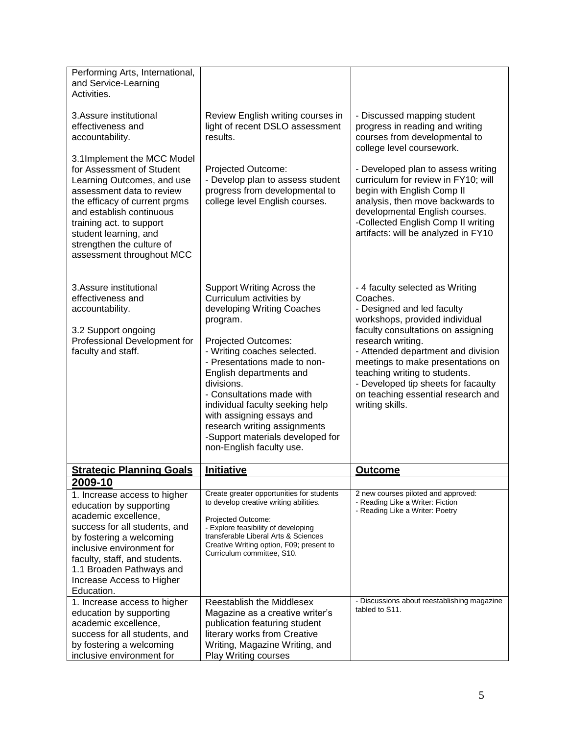| Performing Arts, International,<br>and Service-Learning<br>Activities.                                                                                                                                                                                                                         |                                                                                                                                                                                                                                                                                                                                                                                                                              |                                                                                                                                                                                                                                                                                                                                                                                    |  |  |
|------------------------------------------------------------------------------------------------------------------------------------------------------------------------------------------------------------------------------------------------------------------------------------------------|------------------------------------------------------------------------------------------------------------------------------------------------------------------------------------------------------------------------------------------------------------------------------------------------------------------------------------------------------------------------------------------------------------------------------|------------------------------------------------------------------------------------------------------------------------------------------------------------------------------------------------------------------------------------------------------------------------------------------------------------------------------------------------------------------------------------|--|--|
| 3.Assure institutional<br>effectiveness and<br>accountability.                                                                                                                                                                                                                                 | Review English writing courses in<br>light of recent DSLO assessment<br>results.                                                                                                                                                                                                                                                                                                                                             | - Discussed mapping student<br>progress in reading and writing<br>courses from developmental to<br>college level coursework.                                                                                                                                                                                                                                                       |  |  |
| 3.1Implement the MCC Model<br>for Assessment of Student<br>Learning Outcomes, and use<br>assessment data to review<br>the efficacy of current prgms<br>and establish continuous<br>training act. to support<br>student learning, and<br>strengthen the culture of<br>assessment throughout MCC | Projected Outcome:<br>- Develop plan to assess student<br>progress from developmental to<br>college level English courses.                                                                                                                                                                                                                                                                                                   | - Developed plan to assess writing<br>curriculum for review in FY10; will<br>begin with English Comp II<br>analysis, then move backwards to<br>developmental English courses.<br>-Collected English Comp II writing<br>artifacts: will be analyzed in FY10                                                                                                                         |  |  |
| 3.Assure institutional<br>effectiveness and<br>accountability.<br>3.2 Support ongoing<br>Professional Development for<br>faculty and staff.                                                                                                                                                    | Support Writing Across the<br>Curriculum activities by<br>developing Writing Coaches<br>program.<br>Projected Outcomes:<br>- Writing coaches selected.<br>- Presentations made to non-<br>English departments and<br>divisions.<br>- Consultations made with<br>individual faculty seeking help<br>with assigning essays and<br>research writing assignments<br>-Support materials developed for<br>non-English faculty use. | - 4 faculty selected as Writing<br>Coaches.<br>- Designed and led faculty<br>workshops, provided individual<br>faculty consultations on assigning<br>research writing.<br>- Attended department and division<br>meetings to make presentations on<br>teaching writing to students.<br>- Developed tip sheets for facaulty<br>on teaching essential research and<br>writing skills. |  |  |
| <b>Strategic Planning Goals</b>                                                                                                                                                                                                                                                                | Initiative                                                                                                                                                                                                                                                                                                                                                                                                                   | <b>Outcome</b>                                                                                                                                                                                                                                                                                                                                                                     |  |  |
| 2009-10                                                                                                                                                                                                                                                                                        |                                                                                                                                                                                                                                                                                                                                                                                                                              |                                                                                                                                                                                                                                                                                                                                                                                    |  |  |
| 1. Increase access to higher<br>education by supporting<br>academic excellence,<br>success for all students, and<br>by fostering a welcoming<br>inclusive environment for<br>faculty, staff, and students.<br>1.1 Broaden Pathways and<br>Increase Access to Higher<br>Education.              | Create greater opportunities for students<br>to develop creative writing abilities.<br>Projected Outcome:<br>- Explore feasibility of developing<br>transferable Liberal Arts & Sciences<br>Creative Writing option, F09; present to<br>Curriculum committee, S10.                                                                                                                                                           | 2 new courses piloted and approved:<br>- Reading Like a Writer: Fiction<br>- Reading Like a Writer: Poetry                                                                                                                                                                                                                                                                         |  |  |
| 1. Increase access to higher<br>education by supporting<br>academic excellence,<br>success for all students, and<br>by fostering a welcoming<br>inclusive environment for                                                                                                                      | <b>Reestablish the Middlesex</b><br>Magazine as a creative writer's<br>publication featuring student<br>literary works from Creative<br>Writing, Magazine Writing, and<br><b>Play Writing courses</b>                                                                                                                                                                                                                        | - Discussions about reestablishing magazine<br>tabled to S11.                                                                                                                                                                                                                                                                                                                      |  |  |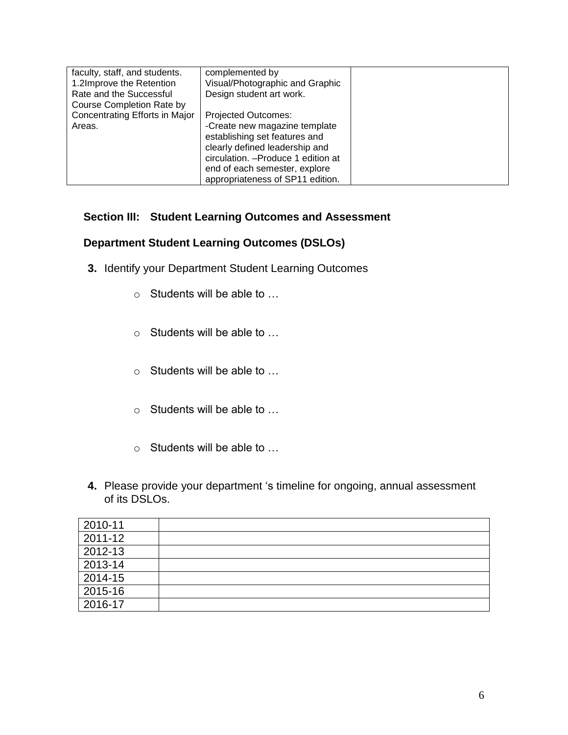| faculty, staff, and students.<br>1.2Improve the Retention<br>Rate and the Successful | complemented by<br>Visual/Photographic and Graphic<br>Design student art work.                                                                                                                                                             |  |
|--------------------------------------------------------------------------------------|--------------------------------------------------------------------------------------------------------------------------------------------------------------------------------------------------------------------------------------------|--|
| Course Completion Rate by                                                            |                                                                                                                                                                                                                                            |  |
| Concentrating Efforts in Major<br>Areas.                                             | <b>Projected Outcomes:</b><br>-Create new magazine template<br>establishing set features and<br>clearly defined leadership and<br>circulation. - Produce 1 edition at<br>end of each semester, explore<br>appropriateness of SP11 edition. |  |

# **Section III: Student Learning Outcomes and Assessment**

# **Department Student Learning Outcomes (DSLOs)**

- **3.** Identify your Department Student Learning Outcomes
	- o Students will be able to …
	- o Students will be able to …
	- o Students will be able to …
	- o Students will be able to …
	- o Students will be able to …
- **4.** Please provide your department 's timeline for ongoing, annual assessment of its DSLOs.

| 2010-11 |  |
|---------|--|
| 2011-12 |  |
| 2012-13 |  |
| 2013-14 |  |
| 2014-15 |  |
| 2015-16 |  |
| 2016-17 |  |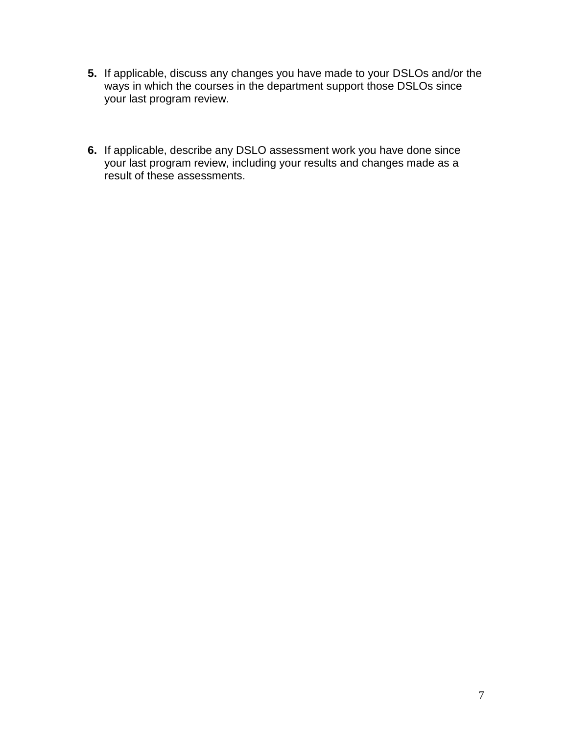- **5.** If applicable, discuss any changes you have made to your DSLOs and/or the ways in which the courses in the department support those DSLOs since your last program review.
- **6.** If applicable, describe any DSLO assessment work you have done since your last program review, including your results and changes made as a result of these assessments.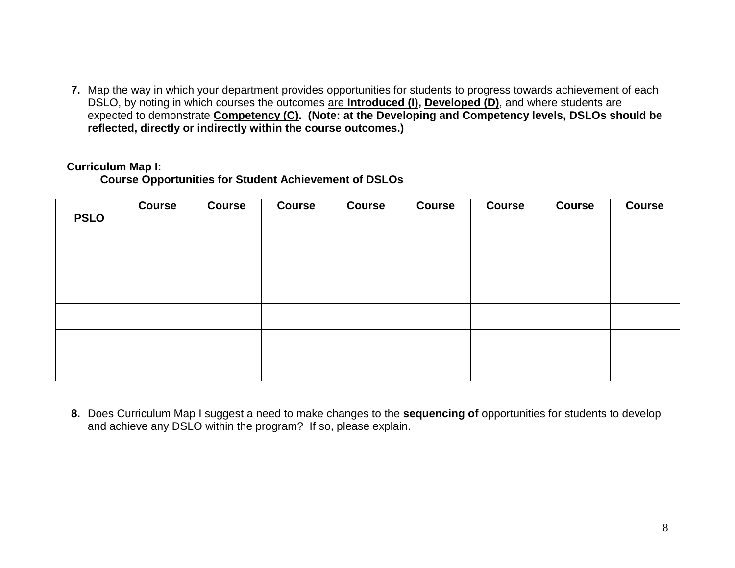**7.** Map the way in which your department provides opportunities for students to progress towards achievement of each DSLO, by noting in which courses the outcomes are **Introduced (I), Developed (D)**, and where students are expected to demonstrate **Competency (C). (Note: at the Developing and Competency levels, DSLOs should be reflected, directly or indirectly within the course outcomes.)**

#### **Curriculum Map I:**

**Course Opportunities for Student Achievement of DSLOs** 

| <b>PSLO</b> | <b>Course</b> | <b>Course</b> | <b>Course</b> | <b>Course</b> | <b>Course</b> | <b>Course</b> | <b>Course</b> | <b>Course</b> |
|-------------|---------------|---------------|---------------|---------------|---------------|---------------|---------------|---------------|
|             |               |               |               |               |               |               |               |               |
|             |               |               |               |               |               |               |               |               |
|             |               |               |               |               |               |               |               |               |
|             |               |               |               |               |               |               |               |               |
|             |               |               |               |               |               |               |               |               |
|             |               |               |               |               |               |               |               |               |

**8.** Does Curriculum Map I suggest a need to make changes to the **sequencing of** opportunities for students to develop and achieve any DSLO within the program? If so, please explain.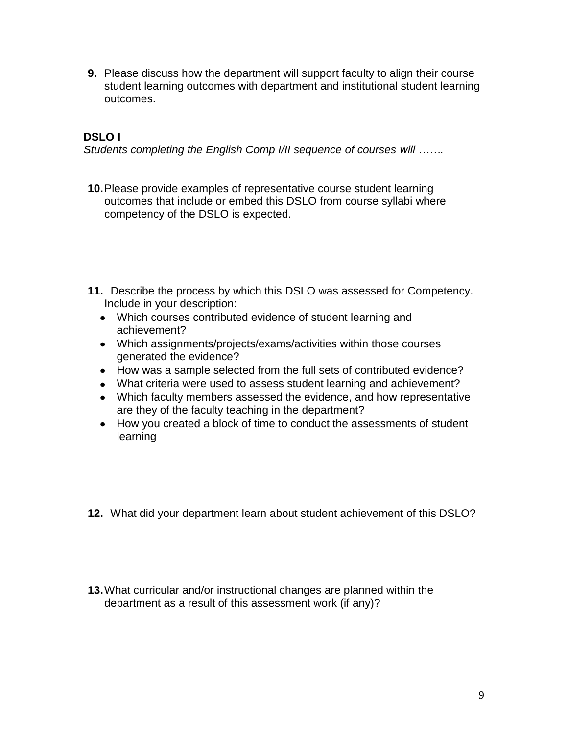**9.** Please discuss how the department will support faculty to align their course student learning outcomes with department and institutional student learning outcomes.

# **DSLO I**

*Students completing the English Comp I/II sequence of courses will …….*

- **10.**Please provide examples of representative course student learning outcomes that include or embed this DSLO from course syllabi where competency of the DSLO is expected.
- **11.** Describe the process by which this DSLO was assessed for Competency. Include in your description:
	- Which courses contributed evidence of student learning and achievement?
	- Which assignments/projects/exams/activities within those courses generated the evidence?
	- How was a sample selected from the full sets of contributed evidence?
	- What criteria were used to assess student learning and achievement?
	- Which faculty members assessed the evidence, and how representative are they of the faculty teaching in the department?
	- How you created a block of time to conduct the assessments of student learning
- **12.** What did your department learn about student achievement of this DSLO?
- **13.**What curricular and/or instructional changes are planned within the department as a result of this assessment work (if any)?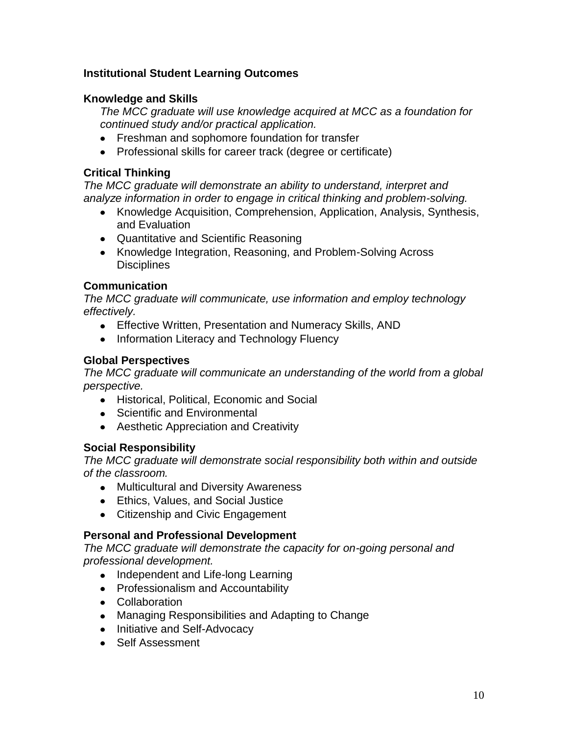# **Institutional Student Learning Outcomes**

# **Knowledge and Skills**

*The MCC graduate will use knowledge acquired at MCC as a foundation for continued study and/or practical application.*

- **•** Freshman and sophomore foundation for transfer
- Professional skills for career track (degree or certificate)

# **Critical Thinking**

*The MCC graduate will demonstrate an ability to understand, interpret and analyze information in order to engage in critical thinking and problem-solving.*

- Knowledge Acquisition, Comprehension, Application, Analysis, Synthesis, and Evaluation
- Quantitative and Scientific Reasoning
- Knowledge Integration, Reasoning, and Problem-Solving Across **Disciplines**

## **Communication**

*The MCC graduate will communicate, use information and employ technology effectively.*

- Effective Written, Presentation and Numeracy Skills, AND
- Information Literacy and Technology Fluency

# **Global Perspectives**

*The MCC graduate will communicate an understanding of the world from a global perspective.*

- Historical, Political, Economic and Social
- Scientific and Environmental
- Aesthetic Appreciation and Creativity

# **Social Responsibility**

*The MCC graduate will demonstrate social responsibility both within and outside of the classroom.*

- Multicultural and Diversity Awareness
- Ethics, Values, and Social Justice
- Citizenship and Civic Engagement

## **Personal and Professional Development**

*The MCC graduate will demonstrate the capacity for on-going personal and professional development.*

- Independent and Life-long Learning
- Professionalism and Accountability
- Collaboration
- Managing Responsibilities and Adapting to Change
- Initiative and Self-Advocacy
- Self Assessment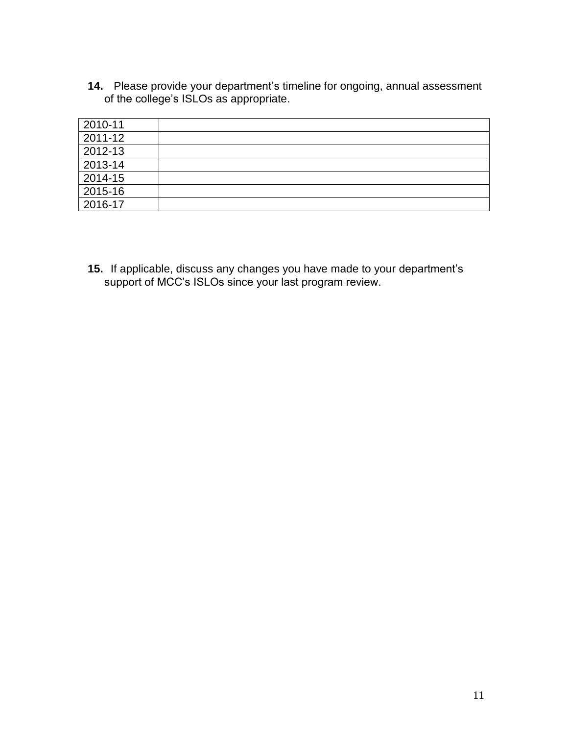**14.** Please provide your department's timeline for ongoing, annual assessment of the college's ISLOs as appropriate.

| 2010-11 |  |
|---------|--|
| 2011-12 |  |
| 2012-13 |  |
| 2013-14 |  |
| 2014-15 |  |
| 2015-16 |  |
| 2016-17 |  |

**15.** If applicable, discuss any changes you have made to your department's support of MCC's ISLOs since your last program review.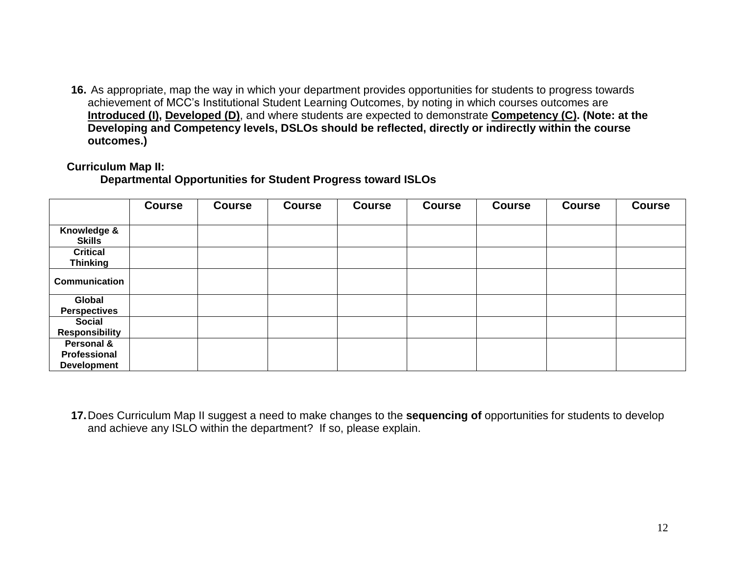**16.** As appropriate, map the way in which your department provides opportunities for students to progress towards achievement of MCC's Institutional Student Learning Outcomes, by noting in which courses outcomes are **Introduced (I), Developed (D)**, and where students are expected to demonstrate **Competency (C). (Note: at the Developing and Competency levels, DSLOs should be reflected, directly or indirectly within the course outcomes.)**

#### **Curriculum Map II:**

### **Departmental Opportunities for Student Progress toward ISLOs**

|                                                  | <b>Course</b> | <b>Course</b> | <b>Course</b> | <b>Course</b> | <b>Course</b> | <b>Course</b> | <b>Course</b> | <b>Course</b> |
|--------------------------------------------------|---------------|---------------|---------------|---------------|---------------|---------------|---------------|---------------|
|                                                  |               |               |               |               |               |               |               |               |
| Knowledge &<br><b>Skills</b>                     |               |               |               |               |               |               |               |               |
| <b>Critical</b><br><b>Thinking</b>               |               |               |               |               |               |               |               |               |
| <b>Communication</b>                             |               |               |               |               |               |               |               |               |
| Global<br><b>Perspectives</b>                    |               |               |               |               |               |               |               |               |
| <b>Social</b><br><b>Responsibility</b>           |               |               |               |               |               |               |               |               |
| Personal &<br>Professional<br><b>Development</b> |               |               |               |               |               |               |               |               |

**17.**Does Curriculum Map II suggest a need to make changes to the **sequencing of** opportunities for students to develop and achieve any ISLO within the department? If so, please explain.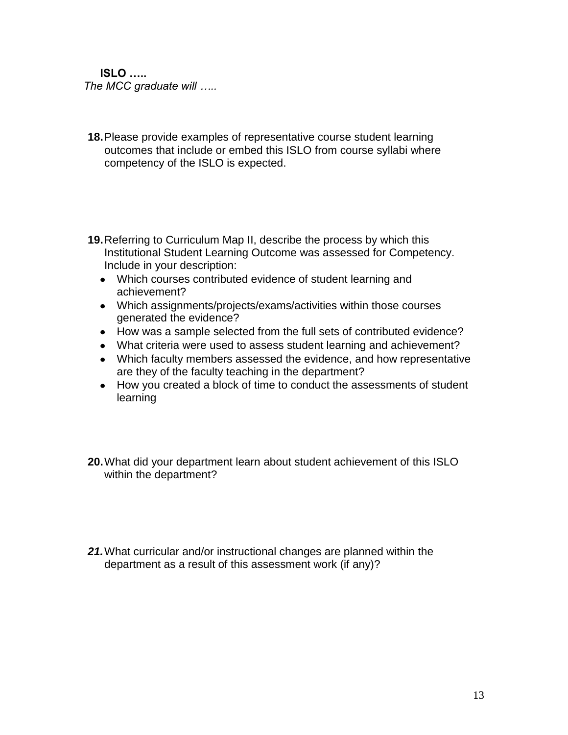**ISLO …..** *The MCC graduate will …..*

- **18.**Please provide examples of representative course student learning outcomes that include or embed this ISLO from course syllabi where competency of the ISLO is expected.
- **19.**Referring to Curriculum Map II, describe the process by which this Institutional Student Learning Outcome was assessed for Competency. Include in your description:
	- Which courses contributed evidence of student learning and achievement?
	- Which assignments/projects/exams/activities within those courses generated the evidence?
	- How was a sample selected from the full sets of contributed evidence?
	- What criteria were used to assess student learning and achievement?
	- Which faculty members assessed the evidence, and how representative are they of the faculty teaching in the department?
	- How you created a block of time to conduct the assessments of student learning
- **20.**What did your department learn about student achievement of this ISLO within the department?
- *21.*What curricular and/or instructional changes are planned within the department as a result of this assessment work (if any)?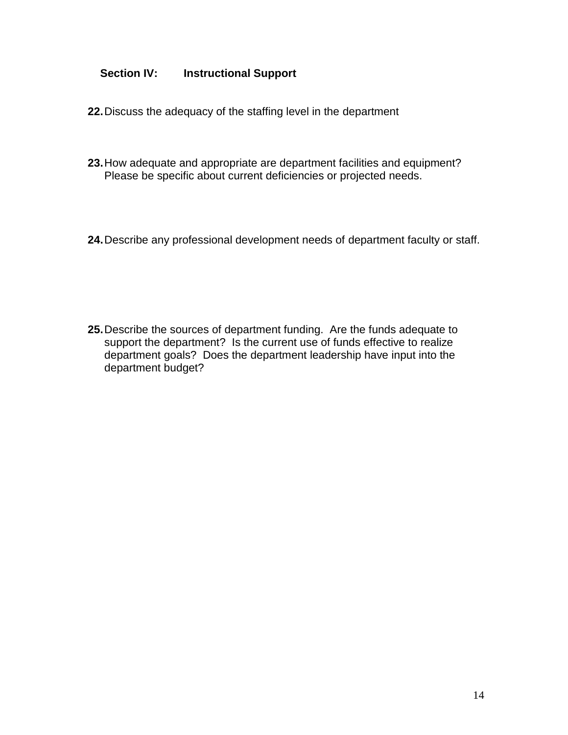# **Section IV: Instructional Support**

- **22.**Discuss the adequacy of the staffing level in the department
- **23.**How adequate and appropriate are department facilities and equipment? Please be specific about current deficiencies or projected needs.
- **24.**Describe any professional development needs of department faculty or staff.

**25.**Describe the sources of department funding. Are the funds adequate to support the department? Is the current use of funds effective to realize department goals? Does the department leadership have input into the department budget?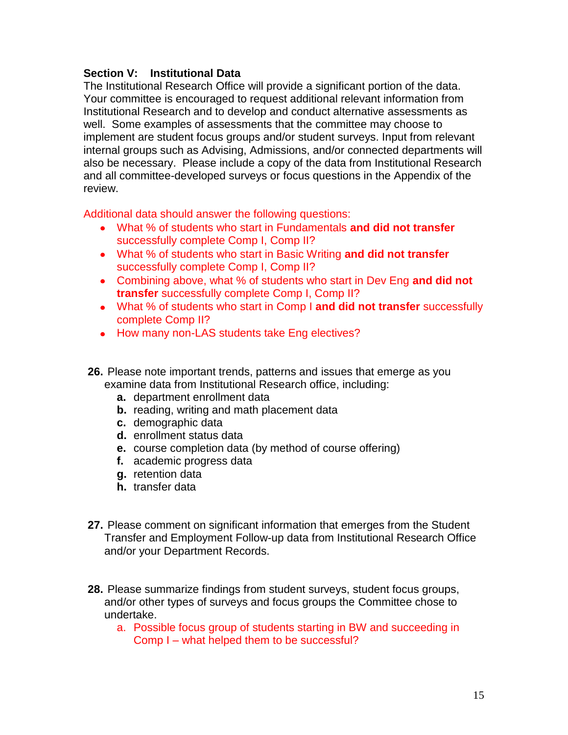### **Section V: Institutional Data**

The Institutional Research Office will provide a significant portion of the data. Your committee is encouraged to request additional relevant information from Institutional Research and to develop and conduct alternative assessments as well. Some examples of assessments that the committee may choose to implement are student focus groups and/or student surveys. Input from relevant internal groups such as Advising, Admissions, and/or connected departments will also be necessary. Please include a copy of the data from Institutional Research and all committee-developed surveys or focus questions in the Appendix of the review.

Additional data should answer the following questions:

- What % of students who start in Fundamentals **and did not transfer** successfully complete Comp I, Comp II?
- What % of students who start in Basic Writing **and did not transfer** successfully complete Comp I, Comp II?
- Combining above, what % of students who start in Dev Eng **and did not transfer** successfully complete Comp I, Comp II?
- What % of students who start in Comp I **and did not transfer** successfully complete Comp II?
- How many non-LAS students take Eng electives?
- **26.** Please note important trends, patterns and issues that emerge as you examine data from Institutional Research office, including:
	- **a.** department enrollment data
	- **b.** reading, writing and math placement data
	- **c.** demographic data
	- **d.** enrollment status data
	- **e.** course completion data (by method of course offering)
	- **f.** academic progress data
	- **g.** retention data
	- **h.** transfer data
- **27.** Please comment on significant information that emerges from the Student Transfer and Employment Follow-up data from Institutional Research Office and/or your Department Records.
- **28.** Please summarize findings from student surveys, student focus groups, and/or other types of surveys and focus groups the Committee chose to undertake.
	- a. Possible focus group of students starting in BW and succeeding in Comp I – what helped them to be successful?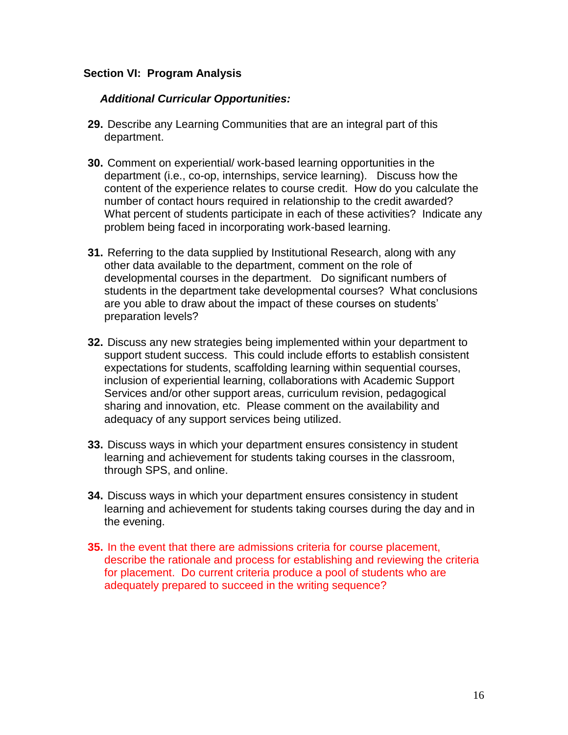### **Section VI: Program Analysis**

### *Additional Curricular Opportunities:*

- **29.** Describe any Learning Communities that are an integral part of this department.
- **30.** Comment on experiential/ work-based learning opportunities in the department (i.e., co-op, internships, service learning). Discuss how the content of the experience relates to course credit. How do you calculate the number of contact hours required in relationship to the credit awarded? What percent of students participate in each of these activities? Indicate any problem being faced in incorporating work-based learning.
- **31.** Referring to the data supplied by Institutional Research, along with any other data available to the department, comment on the role of developmental courses in the department. Do significant numbers of students in the department take developmental courses? What conclusions are you able to draw about the impact of these courses on students' preparation levels?
- **32.** Discuss any new strategies being implemented within your department to support student success. This could include efforts to establish consistent expectations for students, scaffolding learning within sequential courses, inclusion of experiential learning, collaborations with Academic Support Services and/or other support areas, curriculum revision, pedagogical sharing and innovation, etc. Please comment on the availability and adequacy of any support services being utilized.
- **33.** Discuss ways in which your department ensures consistency in student learning and achievement for students taking courses in the classroom, through SPS, and online.
- **34.** Discuss ways in which your department ensures consistency in student learning and achievement for students taking courses during the day and in the evening.
- **35.** In the event that there are admissions criteria for course placement, describe the rationale and process for establishing and reviewing the criteria for placement. Do current criteria produce a pool of students who are adequately prepared to succeed in the writing sequence?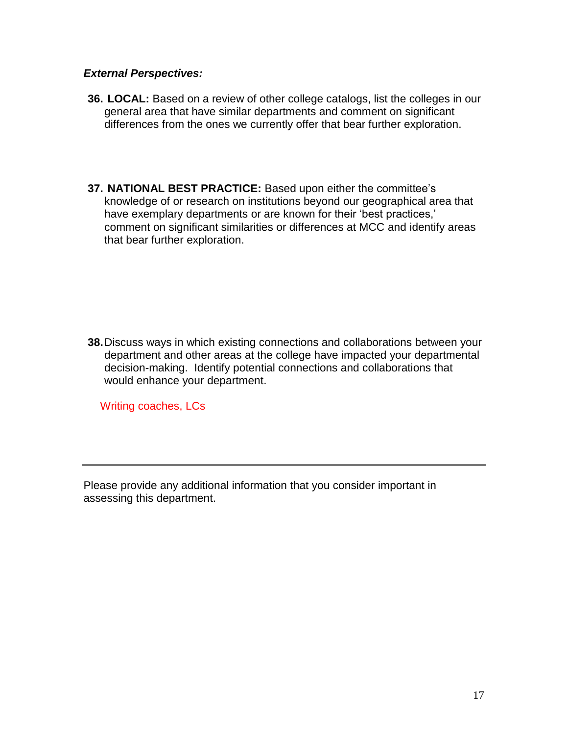### *External Perspectives:*

- **36. LOCAL:** Based on a review of other college catalogs, list the colleges in our general area that have similar departments and comment on significant differences from the ones we currently offer that bear further exploration.
- **37. NATIONAL BEST PRACTICE:** Based upon either the committee's knowledge of or research on institutions beyond our geographical area that have exemplary departments or are known for their 'best practices,' comment on significant similarities or differences at MCC and identify areas that bear further exploration.

**38.**Discuss ways in which existing connections and collaborations between your department and other areas at the college have impacted your departmental decision-making. Identify potential connections and collaborations that would enhance your department.

Writing coaches, LCs

Please provide any additional information that you consider important in assessing this department.